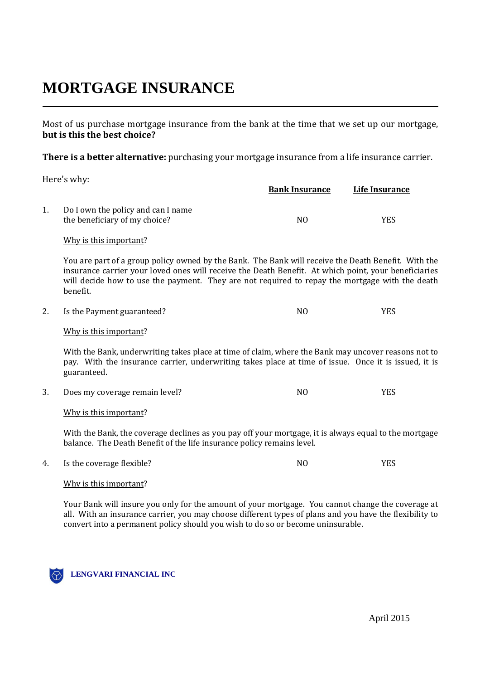# **MORTGAGE INSURANCE**

Most of us purchase mortgage insurance from the bank at the time that we set up our mortgage, **but is this the best choice?** 

**There is a better alternative:** purchasing your mortgage insurance from a life insurance carrier.

Here's why:

|    |                                                                                                                                                                                                                                                                                                                           | <b>Bank Insurance</b> | <b>Life Insurance</b> |  |
|----|---------------------------------------------------------------------------------------------------------------------------------------------------------------------------------------------------------------------------------------------------------------------------------------------------------------------------|-----------------------|-----------------------|--|
| 1. | Do I own the policy and can I name<br>the beneficiary of my choice?                                                                                                                                                                                                                                                       | N <sub>O</sub>        | <b>YES</b>            |  |
|    | Why is this important?                                                                                                                                                                                                                                                                                                    |                       |                       |  |
|    | You are part of a group policy owned by the Bank. The Bank will receive the Death Benefit. With the<br>insurance carrier your loved ones will receive the Death Benefit. At which point, your beneficiaries<br>will decide how to use the payment. They are not required to repay the mortgage with the death<br>benefit. |                       |                       |  |
| 2. | Is the Payment guaranteed?                                                                                                                                                                                                                                                                                                | N <sub>O</sub>        | <b>YES</b>            |  |
|    | Why is this important?                                                                                                                                                                                                                                                                                                    |                       |                       |  |
|    | With the Bank, underwriting takes place at time of claim, where the Bank may uncover reasons not to<br>pay. With the insurance carrier, underwriting takes place at time of issue. Once it is issued, it is<br>guaranteed.                                                                                                |                       |                       |  |
| 3. | Does my coverage remain level?                                                                                                                                                                                                                                                                                            | N <sub>O</sub>        | <b>YES</b>            |  |
|    | Why is this important?                                                                                                                                                                                                                                                                                                    |                       |                       |  |
|    | With the Bank, the coverage declines as you pay off your mortgage, it is always equal to the mortgage<br>balance. The Death Benefit of the life insurance policy remains level.                                                                                                                                           |                       |                       |  |
| 4. | Is the coverage flexible?                                                                                                                                                                                                                                                                                                 | N <sub>O</sub>        | <b>YES</b>            |  |
|    |                                                                                                                                                                                                                                                                                                                           |                       |                       |  |

## Why is this important?

Your Bank will insure you only for the amount of your mortgage. You cannot change the coverage at all. With an insurance carrier, you may choose different types of plans and you have the flexibility to convert into a permanent policy should you wish to do so or become uninsurable.

**LENGVARI FINANCIAL INC** $\langle \bigotimes \rangle$